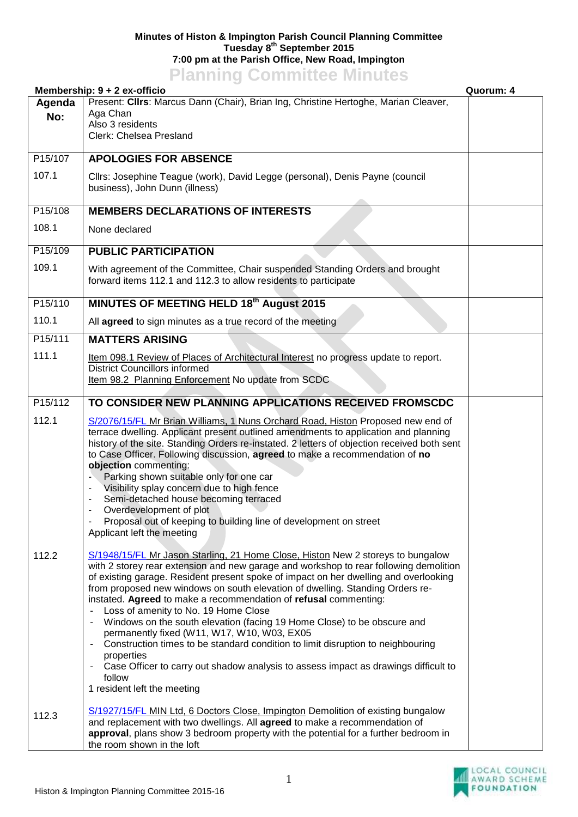## **Minutes of Histon & Impington Parish Council Planning Committee Tuesday 8 th September 2015 7:00 pm at the Parish Office, New Road, Impington Planning Committee Minutes**

|         | <b>Planning Committee Minutes</b>                                                                                                                                        |           |
|---------|--------------------------------------------------------------------------------------------------------------------------------------------------------------------------|-----------|
| Agenda  | Membership: 9 + 2 ex-officio<br>Present: Clirs: Marcus Dann (Chair), Brian Ing, Christine Hertoghe, Marian Cleaver,                                                      | Quorum: 4 |
| No:     | Aga Chan                                                                                                                                                                 |           |
|         | Also 3 residents                                                                                                                                                         |           |
|         | Clerk: Chelsea Presland                                                                                                                                                  |           |
| P15/107 | <b>APOLOGIES FOR ABSENCE</b>                                                                                                                                             |           |
| 107.1   |                                                                                                                                                                          |           |
|         | Cllrs: Josephine Teague (work), David Legge (personal), Denis Payne (council<br>business), John Dunn (illness)                                                           |           |
|         |                                                                                                                                                                          |           |
| P15/108 | <b>MEMBERS DECLARATIONS OF INTERESTS</b>                                                                                                                                 |           |
| 108.1   | None declared                                                                                                                                                            |           |
| P15/109 | <b>PUBLIC PARTICIPATION</b>                                                                                                                                              |           |
|         |                                                                                                                                                                          |           |
| 109.1   | With agreement of the Committee, Chair suspended Standing Orders and brought<br>forward items 112.1 and 112.3 to allow residents to participate                          |           |
|         |                                                                                                                                                                          |           |
| P15/110 | <b>MINUTES OF MEETING HELD 18th August 2015</b>                                                                                                                          |           |
| 110.1   | All agreed to sign minutes as a true record of the meeting                                                                                                               |           |
| P15/111 | <b>MATTERS ARISING</b>                                                                                                                                                   |           |
| 111.1   | Item 098.1 Review of Places of Architectural Interest no progress update to report.                                                                                      |           |
|         | <b>District Councillors informed</b>                                                                                                                                     |           |
|         | Item 98.2 Planning Enforcement No update from SCDC                                                                                                                       |           |
| P15/112 | TO CONSIDER NEW PLANNING APPLICATIONS RECEIVED FROMSCDC                                                                                                                  |           |
| 112.1   | S/2076/15/FL Mr Brian Williams, 1 Nuns Orchard Road, Histon Proposed new end of                                                                                          |           |
|         | terrace dwelling. Applicant present outlined amendments to application and planning                                                                                      |           |
|         | history of the site. Standing Orders re-instated. 2 letters of objection received both sent                                                                              |           |
|         | to Case Officer. Following discussion, agreed to make a recommendation of no<br>objection commenting:                                                                    |           |
|         | Parking shown suitable only for one car                                                                                                                                  |           |
|         | Visibility splay concern due to high fence                                                                                                                               |           |
|         | Semi-detached house becoming terraced                                                                                                                                    |           |
|         | Overdevelopment of plot<br>Proposal out of keeping to building line of development on street                                                                             |           |
|         | Applicant left the meeting                                                                                                                                               |           |
|         |                                                                                                                                                                          |           |
| 112.2   | S/1948/15/FL Mr Jason Starling, 21 Home Close, Histon New 2 storeys to bungalow<br>with 2 storey rear extension and new garage and workshop to rear following demolition |           |
|         | of existing garage. Resident present spoke of impact on her dwelling and overlooking                                                                                     |           |
|         | from proposed new windows on south elevation of dwelling. Standing Orders re-                                                                                            |           |
|         | instated. Agreed to make a recommendation of refusal commenting:<br>Loss of amenity to No. 19 Home Close                                                                 |           |
|         | Windows on the south elevation (facing 19 Home Close) to be obscure and<br>$\blacksquare$                                                                                |           |
|         | permanently fixed (W11, W17, W10, W03, EX05                                                                                                                              |           |
|         | Construction times to be standard condition to limit disruption to neighbouring<br>$\overline{\phantom{a}}$                                                              |           |
|         | properties<br>Case Officer to carry out shadow analysis to assess impact as drawings difficult to                                                                        |           |
|         | follow                                                                                                                                                                   |           |
|         | 1 resident left the meeting                                                                                                                                              |           |
|         | S/1927/15/FL MIN Ltd, 6 Doctors Close, Impington Demolition of existing bungalow                                                                                         |           |
| 112.3   | and replacement with two dwellings. All agreed to make a recommendation of                                                                                               |           |
|         | approval, plans show 3 bedroom property with the potential for a further bedroom in                                                                                      |           |
|         | the room shown in the loft                                                                                                                                               |           |

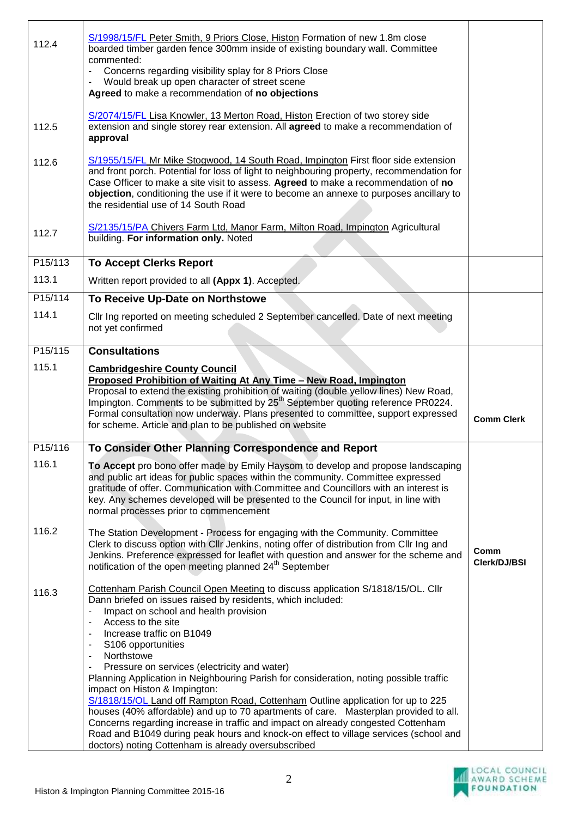| 112.4                | S/1998/15/FL Peter Smith, 9 Priors Close, Histon Formation of new 1.8m close<br>boarded timber garden fence 300mm inside of existing boundary wall. Committee<br>commented:<br>Concerns regarding visibility splay for 8 Priors Close                                                                                                                                                                                                                                                                                                                                                                                                                                                                                                                                                                            |                      |
|----------------------|------------------------------------------------------------------------------------------------------------------------------------------------------------------------------------------------------------------------------------------------------------------------------------------------------------------------------------------------------------------------------------------------------------------------------------------------------------------------------------------------------------------------------------------------------------------------------------------------------------------------------------------------------------------------------------------------------------------------------------------------------------------------------------------------------------------|----------------------|
|                      | Would break up open character of street scene<br>Agreed to make a recommendation of no objections                                                                                                                                                                                                                                                                                                                                                                                                                                                                                                                                                                                                                                                                                                                |                      |
| 112.5                | S/2074/15/FL Lisa Knowler, 13 Merton Road, Histon Erection of two storey side<br>extension and single storey rear extension. All agreed to make a recommendation of<br>approval                                                                                                                                                                                                                                                                                                                                                                                                                                                                                                                                                                                                                                  |                      |
| 112.6                | S/1955/15/FL Mr Mike Stogwood, 14 South Road, Impington First floor side extension<br>and front porch. Potential for loss of light to neighbouring property, recommendation for<br>Case Officer to make a site visit to assess. Agreed to make a recommendation of no<br>objection, conditioning the use if it were to become an annexe to purposes ancillary to<br>the residential use of 14 South Road                                                                                                                                                                                                                                                                                                                                                                                                         |                      |
| 112.7                | S/2135/15/PA Chivers Farm Ltd, Manor Farm, Milton Road, Impington Agricultural<br>building. For information only. Noted                                                                                                                                                                                                                                                                                                                                                                                                                                                                                                                                                                                                                                                                                          |                      |
| P <sub>15</sub> /113 | <b>To Accept Clerks Report</b>                                                                                                                                                                                                                                                                                                                                                                                                                                                                                                                                                                                                                                                                                                                                                                                   |                      |
| 113.1                | Written report provided to all (Appx 1). Accepted.                                                                                                                                                                                                                                                                                                                                                                                                                                                                                                                                                                                                                                                                                                                                                               |                      |
| P15/114              | To Receive Up-Date on Northstowe                                                                                                                                                                                                                                                                                                                                                                                                                                                                                                                                                                                                                                                                                                                                                                                 |                      |
| 114.1                | Cllr Ing reported on meeting scheduled 2 September cancelled. Date of next meeting<br>not yet confirmed                                                                                                                                                                                                                                                                                                                                                                                                                                                                                                                                                                                                                                                                                                          |                      |
| P15/115              | <b>Consultations</b>                                                                                                                                                                                                                                                                                                                                                                                                                                                                                                                                                                                                                                                                                                                                                                                             |                      |
| 115.1                | <b>Cambridgeshire County Council</b><br>Proposed Prohibition of Waiting At Any Time - New Road, Impington<br>Proposal to extend the existing prohibition of waiting (double yellow lines) New Road,<br>Impington. Comments to be submitted by 25 <sup>th</sup> September quoting reference PR0224.<br>Formal consultation now underway. Plans presented to committee, support expressed<br>for scheme. Article and plan to be published on website                                                                                                                                                                                                                                                                                                                                                               | <b>Comm Clerk</b>    |
| P15/116              | To Consider Other Planning Correspondence and Report                                                                                                                                                                                                                                                                                                                                                                                                                                                                                                                                                                                                                                                                                                                                                             |                      |
| 116.1                | To Accept pro bono offer made by Emily Haysom to develop and propose landscaping<br>and public art ideas for public spaces within the community. Committee expressed<br>gratitude of offer. Communication with Committee and Councillors with an interest is<br>key. Any schemes developed will be presented to the Council for input, in line with<br>normal processes prior to commencement                                                                                                                                                                                                                                                                                                                                                                                                                    |                      |
| 116.2                | The Station Development - Process for engaging with the Community. Committee<br>Clerk to discuss option with Cllr Jenkins, noting offer of distribution from Cllr Ing and<br>Jenkins. Preference expressed for leaflet with question and answer for the scheme and<br>notification of the open meeting planned 24 <sup>th</sup> September                                                                                                                                                                                                                                                                                                                                                                                                                                                                        | Comm<br>Clerk/DJ/BSI |
| 116.3                | Cottenham Parish Council Open Meeting to discuss application S/1818/15/OL. Cllr<br>Dann briefed on issues raised by residents, which included:<br>Impact on school and health provision<br>Access to the site<br>Increase traffic on B1049<br>S106 opportunities<br>Northstowe<br>Pressure on services (electricity and water)<br>Planning Application in Neighbouring Parish for consideration, noting possible traffic<br>impact on Histon & Impington:<br>S/1818/15/OL Land off Rampton Road, Cottenham Outline application for up to 225<br>houses (40% affordable) and up to 70 apartments of care. Masterplan provided to all.<br>Concerns regarding increase in traffic and impact on already congested Cottenham<br>Road and B1049 during peak hours and knock-on effect to village services (school and |                      |
|                      |                                                                                                                                                                                                                                                                                                                                                                                                                                                                                                                                                                                                                                                                                                                                                                                                                  |                      |